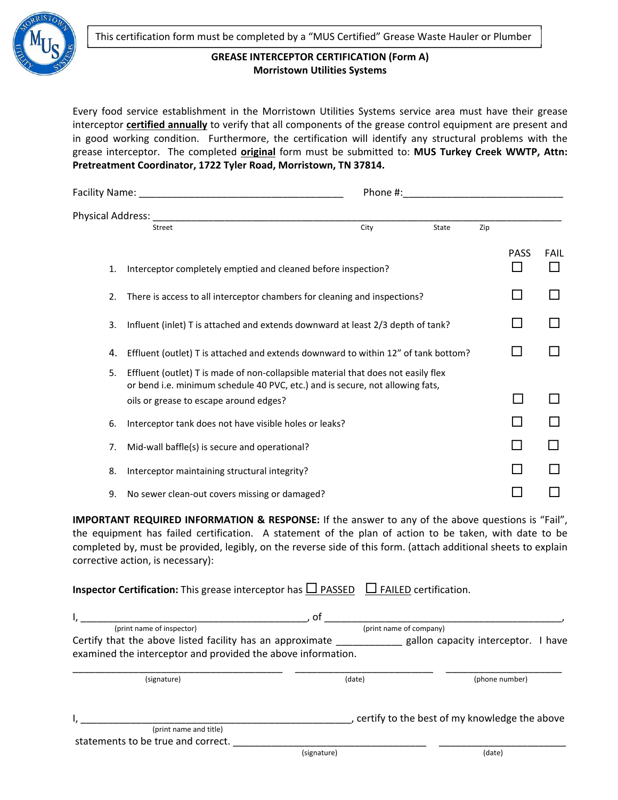

## **GREASE INTERCEPTOR CERTIFICATION (Form A) Morristown Utilities Systems**

Every food service establishment in the Morristown Utilities Systems service area must have their grease interceptor **certified annually** to verify that all components of the grease control equipment are present and in good working condition. Furthermore, the certification will identify any structural problems with the grease interceptor. The completed **original** form must be submitted to: **MUS Turkey Creek WWTP, Attn: Pretreatment Coordinator, 1722 Tyler Road, Morristown, TN 37814.**

|                     |                                                                                                                                                                    | Phone #: |       |     |             |             |  |
|---------------------|--------------------------------------------------------------------------------------------------------------------------------------------------------------------|----------|-------|-----|-------------|-------------|--|
| Physical Address: _ |                                                                                                                                                                    |          |       |     |             |             |  |
|                     | <b>Street</b>                                                                                                                                                      | City     | State | Zip |             |             |  |
| 1.                  | Interceptor completely emptied and cleaned before inspection?                                                                                                      |          |       |     | <b>PASS</b> | <b>FAIL</b> |  |
| 2.                  | There is access to all interceptor chambers for cleaning and inspections?                                                                                          |          |       |     |             |             |  |
| 3.                  | Influent (inlet) T is attached and extends downward at least 2/3 depth of tank?                                                                                    |          |       |     |             |             |  |
| 4.                  | Effluent (outlet) T is attached and extends downward to within 12" of tank bottom?                                                                                 |          |       |     |             |             |  |
| 5.                  | Effluent (outlet) T is made of non-collapsible material that does not easily flex<br>or bend i.e. minimum schedule 40 PVC, etc.) and is secure, not allowing fats, |          |       |     |             |             |  |
|                     | oils or grease to escape around edges?                                                                                                                             |          |       |     | $\Box$      |             |  |
| 6.                  | Interceptor tank does not have visible holes or leaks?                                                                                                             |          |       |     |             |             |  |
| 7.                  | Mid-wall baffle(s) is secure and operational?                                                                                                                      |          |       |     |             |             |  |
| 8.                  | Interceptor maintaining structural integrity?                                                                                                                      |          |       |     |             |             |  |
| 9.                  | No sewer clean-out covers missing or damaged?                                                                                                                      |          |       |     |             |             |  |

**IMPORTANT REQUIRED INFORMATION & RESPONSE:** If the answer to any of the above questions is "Fail", the equipment has failed certification. A statement of the plan of action to be taken, with date to be completed by, must be provided, legibly, on the reverse side of this form. (attach additional sheets to explain corrective action, is necessary):

**Inspector Certification:** This grease interceptor has  $\Box$  PASSED  $\Box$  FAILED certification.

|                                                              | οf          |                                               |  |  |
|--------------------------------------------------------------|-------------|-----------------------------------------------|--|--|
| (print name of inspector)                                    |             | (print name of company)                       |  |  |
| Certify that the above listed facility has an approximate    |             | gallon capacity interceptor. I have           |  |  |
| examined the interceptor and provided the above information. |             |                                               |  |  |
|                                                              |             |                                               |  |  |
| (signature)                                                  | (date)      | (phone number)                                |  |  |
|                                                              |             |                                               |  |  |
|                                                              |             | certify to the best of my knowledge the above |  |  |
| (print name and title)                                       |             |                                               |  |  |
| statements to be true and correct.                           |             |                                               |  |  |
|                                                              | (signature) | (date)                                        |  |  |